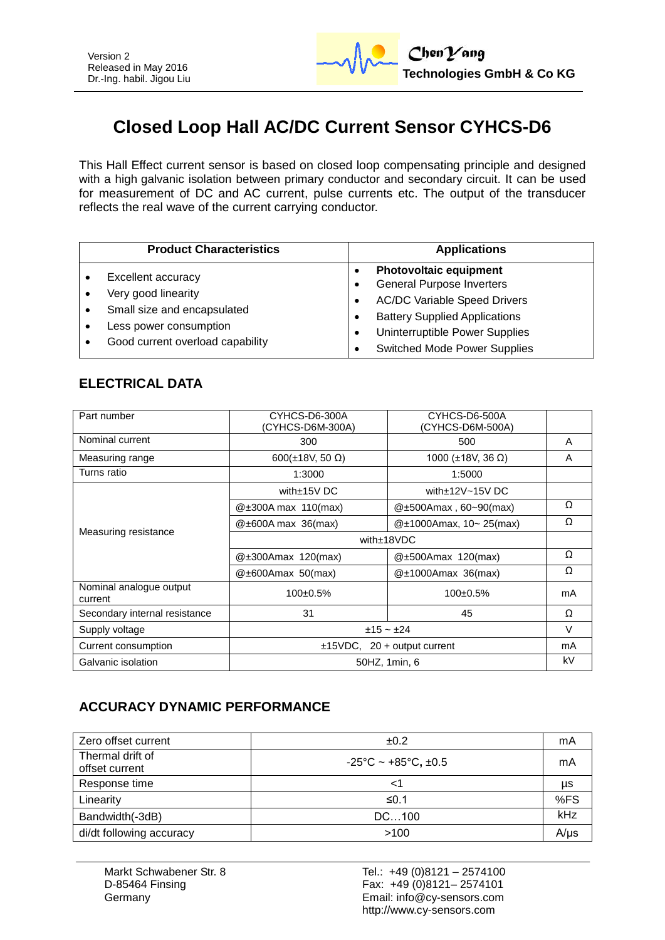

# **Closed Loop Hall AC/DC Current Sensor CYHCS-D6**

This Hall Effect current sensor is based on closed loop compensating principle and designed with a high galvanic isolation between primary conductor and secondary circuit. It can be used for measurement of DC and AC current, pulse currents etc. The output of the transducer reflects the real wave of the current carrying conductor.

| <b>Product Characteristics</b>                                                                                                                | <b>Applications</b>                                                                                                                                                                                                       |
|-----------------------------------------------------------------------------------------------------------------------------------------------|---------------------------------------------------------------------------------------------------------------------------------------------------------------------------------------------------------------------------|
| <b>Excellent accuracy</b><br>Very good linearity<br>Small size and encapsulated<br>Less power consumption<br>Good current overload capability | <b>Photovoltaic equipment</b><br><b>General Purpose Inverters</b><br><b>AC/DC Variable Speed Drivers</b><br><b>Battery Supplied Applications</b><br>Uninterruptible Power Supplies<br><b>Switched Mode Power Supplies</b> |

### **ELECTRICAL DATA**

| Part number                        | CYHCS-D6-300A<br>(CYHCS-D6M-300A) | CYHCS-D6-500A<br>(CYHCS-D6M-500A) |        |
|------------------------------------|-----------------------------------|-----------------------------------|--------|
| Nominal current                    | 300                               | 500                               | A      |
| Measuring range                    | $600(\pm 18V, 50 \Omega)$         | 1000 (±18V, 36 Ω)                 | A      |
| Turns ratio                        | 1:3000                            | 1:5000                            |        |
| Measuring resistance               | with $\pm$ 15V DC                 | with $\pm$ 12V $\sim$ 15V DC      |        |
|                                    | $@\pm300A$ max 110(max)           | $@{\pm}500$ Amax, 60~90(max)      | Ω      |
|                                    | $@\pm 600A$ max 36(max)           | $@t1000Amax$ , 10~ 25(max)        | Ω      |
|                                    | with $±18VDC$                     |                                   |        |
|                                    | @±300Amax 120(max)                | @±500Amax 120(max)                | Ω      |
|                                    | $@\pm 600$ Amax 50(max)           | $@\pm1000$ Amax 36(max)           | Ω      |
| Nominal analogue output<br>current | 100±0.5%                          | 100±0.5%                          | mA     |
| Secondary internal resistance      | 31                                | 45                                | Ω      |
| Supply voltage                     | $±15 - ±24$                       |                                   | $\vee$ |
| Current consumption                | $±15VDC$ , 20 + output current    |                                   | mA     |
| Galvanic isolation                 | 50HZ, 1min, 6                     |                                   | kV     |

### **ACCURACY DYNAMIC PERFORMANCE**

| Zero offset current                | ±0.2                                          | mA        |
|------------------------------------|-----------------------------------------------|-----------|
| Thermal drift of<br>offset current | $-25^{\circ}$ C ~ +85 $^{\circ}$ C, $\pm$ 0.5 | mA        |
| Response time                      | <1                                            | μs        |
| Linearity                          | ≤0.1                                          | %FS       |
| Bandwidth(-3dB)                    | DC100                                         | kHz       |
| di/dt following accuracy           | >100                                          | $A/\mu s$ |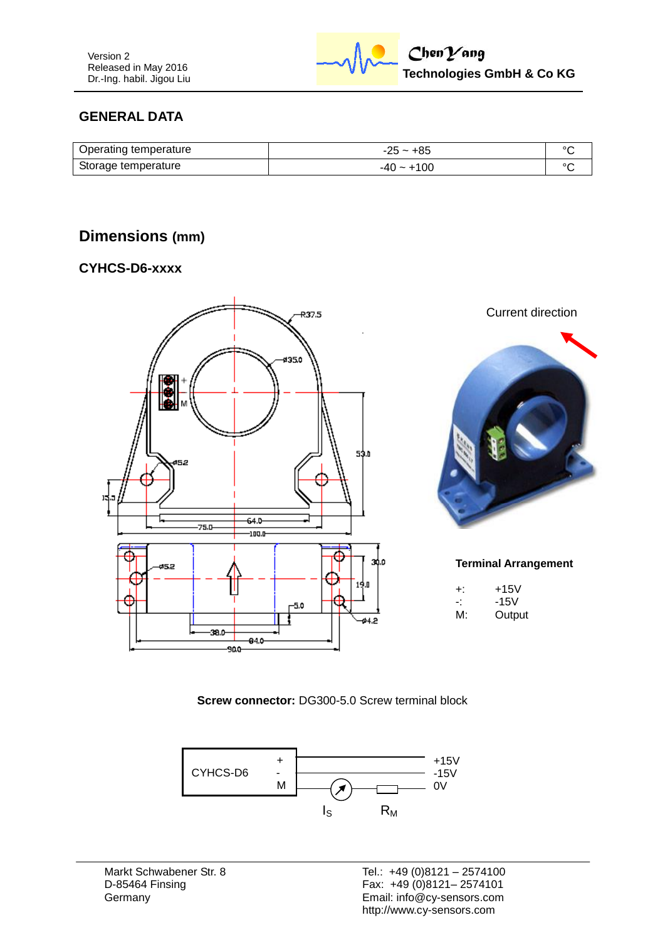

### **GENERAL DATA**

| Operating temperature | $-25 - +85$  |  |
|-----------------------|--------------|--|
| Storage temperature   | $-40 - +100$ |  |

## **Dimensions (mm)**

#### **CYHCS-D6-xxxx**



Current direction



#### **Terminal Arrangement**

| ÷: | $+15V$ |
|----|--------|
| ÷  | -15V   |
| M: | Output |

**Screw connector:** DG300-5.0 Screw terminal block